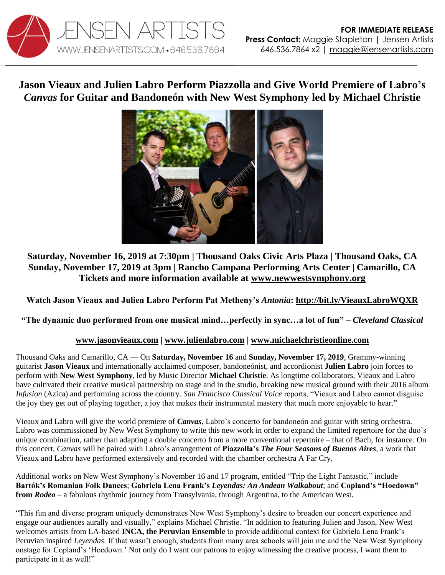

**Jason Vieaux and Julien Labro Perform Piazzolla and Give World Premiere of Labro's**  *Canvas* **for Guitar and Bandoneón with New West Symphony led by Michael Christie**



## **Saturday, November 16, 2019 at 7:30pm | Thousand Oaks Civic Arts Plaza | Thousand Oaks, CA Sunday, November 17, 2019 at 3pm | Rancho Campana Performing Arts Center | Camarillo, CA Tickets and more information available at [www.newwestsymphony.org](https://newwestsymphony.org/trip-the-light-fantastic/)**

**Watch Jason Vieaux and Julien Labro Perform Pat Metheny's** *Antonia***:<http://bit.ly/VieauxLabroWQXR>**

**"The dynamic duo performed from one musical mind…perfectly in sync…a lot of fun" –** *Cleveland Classical*

## **[www.jasonvieaux.com](http://www.jasonvieaux.com/) | [www.julienlabro.com](http://www.julienlabro.com/) | [www.michaelchristieonline.com](http://www.michaelchristieonline.com/)**

Thousand Oaks and Camarillo, CA — On **Saturday, November 16** and **Sunday, November 17, 2019**, Grammy-winning guitarist **Jason Vieaux** and internationally acclaimed composer, bandoneónist, and accordionist **Julien Labro** join forces to perform with **New West Symphony**, led by Music Director **Michael Christie**. As longtime collaborators, Vieaux and Labro have cultivated their creative musical partnership on stage and in the studio, breaking new musical ground with their 2016 album *Infusion* (Azica) and performing across the country. *San Francisco Classical Voice* reports, "Vieaux and Labro cannot disguise the joy they get out of playing together, a joy that makes their instrumental mastery that much more enjoyable to hear."

Vieaux and Labro will give the world premiere of *Canvas*, Labro's concerto for bandoneón and guitar with string orchestra. Labro was commissioned by New West Symphony to write this new work in order to expand the limited repertoire for the duo's unique combination, rather than adapting a double concerto from a more conventional repertoire – that of Bach, for instance. On this concert, *Canvas* will be paired with Labro's arrangement of **Piazzolla's** *The Four Seasons of Buenos Aires*, a work that Vieaux and Labro have performed extensively and recorded with the chamber orchestra A Far Cry.

Additional works on New West Symphony's November 16 and 17 program, entitled "Trip the Light Fantastic," include **Bartók's Romanian Folk Dances**; **Gabriela Lena Frank's** *Leyendas: An Andean Walkabout*; and **Copland's "Hoedown" from** *Rodeo* – a fabulous rhythmic journey from Transylvania, through Argentina, to the American West.

"This fun and diverse program uniquely demonstrates New West Symphony's desire to broaden our concert experience and engage our audiences aurally and visually," explains Michael Christie. "In addition to featuring Julien and Jason, New West welcomes artists from LA-based **INCA, the Peruvian Ensemble** to provide additional context for Gabriela Lena Frank's Peruvian inspired *Leyendas*. If that wasn't enough, students from many area schools will join me and the New West Symphony onstage for Copland's 'Hoedown.' Not only do I want our patrons to enjoy witnessing the creative process, I want them to participate in it as well!"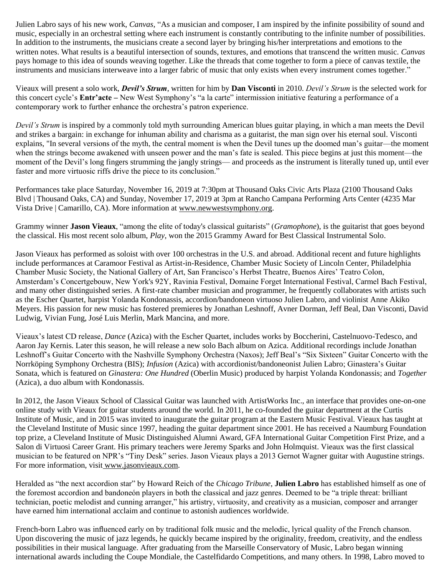Julien Labro says of his new work, *Canvas*, "As a musician and composer, I am inspired by the infinite possibility of sound and music, especially in an orchestral setting where each instrument is constantly contributing to the infinite number of possibilities. In addition to the instruments, the musicians create a second layer by bringing his/her interpretations and emotions to the written notes. What results is a beautiful intersection of sounds, textures, and emotions that transcend the written music. *Canvas* pays homage to this idea of sounds weaving together. Like the threads that come together to form a piece of canvas textile, the instruments and musicians interweave into a larger fabric of music that only exists when every instrument comes together."

Vieaux will present a solo work, *Devil's Strum*, written for him by **Dan Visconti** in 2010. *Devil's Strum* is the selected work for this concert cycle's **Entr'acte** – New West Symphony's "a la carte" intermission initiative featuring a performance of a contemporary work to further enhance the orchestra's patron experience.

*Devil's Strum* is inspired by a commonly told myth surrounding American blues guitar playing, in which a man meets the Devil and strikes a bargain: in exchange for inhuman ability and charisma as a guitarist, the man sign over his eternal soul. Visconti explains, "In several versions of the myth, the central moment is when the Devil tunes up the doomed man's guitar—the moment when the strings become awakened with unseen power and the man's fate is sealed. This piece begins at just this moment—the moment of the Devil's long fingers strumming the jangly strings— and proceeds as the instrument is literally tuned up, until ever faster and more virtuosic riffs drive the piece to its conclusion."

Performances take place Saturday, November 16, 2019 at 7:30pm at Thousand Oaks Civic Arts Plaza (2100 Thousand Oaks Blvd | Thousand Oaks, CA) and Sunday, November 17, 2019 at 3pm at Rancho Campana Performing Arts Center (4235 Mar Vista Drive | Camarillo, CA). More information at [www.newwestsymphony.org.](https://newwestsymphony.org/trip-the-light-fantastic/)

Grammy winner **Jason Vieaux**, "among the elite of today's classical guitarists" (*Gramophone*), is the guitarist that goes beyond the classical. His most recent solo album, *Play*, won the 2015 Grammy Award for Best Classical Instrumental Solo.

Jason Vieaux has performed as soloist with over 100 orchestras in the U.S. and abroad. Additional recent and future highlights include performances at Caramoor Festival as Artist-in-Residence, Chamber Music Society of Lincoln Center, Philadelphia Chamber Music Society, the National Gallery of Art, San Francisco's Herbst Theatre, Buenos Aires' Teatro Colon, Amsterdam's Concertgebouw, New York's 92Y, Ravinia Festival, Domaine Forget International Festival, Carmel Bach Festival, and many other distinguished series. A first-rate chamber musician and programmer, he frequently collaborates with artists such as the Escher Quartet, harpist Yolanda Kondonassis, accordion/bandoneon virtuoso Julien Labro, and violinist Anne Akiko Meyers. His passion for new music has fostered premieres by Jonathan Leshnoff, Avner Dorman, Jeff Beal, Dan Visconti, David Ludwig, Vivian Fung, José Luis Merlin, Mark Mancina, and more.

Vieaux's latest CD release, *Dance* (Azica) with the Escher Quartet, includes works by Boccherini, Castelnuovo-Tedesco, and Aaron Jay Kernis. Later this season, he will release a new solo Bach album on Azica. Additional recordings include Jonathan Leshnoff's Guitar Concerto with the Nashville Symphony Orchestra (Naxos); Jeff Beal's "Six Sixteen" Guitar Concerto with the Norrköping Symphony Orchestra (BIS); *Infusion* (Azica) with accordionist/bandoneonist Julien Labro; Ginastera's Guitar Sonata, which is featured on *Ginastera: One Hundred* (Oberlin Music) produced by harpist Yolanda Kondonassis; and *Together*  (Azica), a duo album with Kondonassis.

In 2012, the Jason Vieaux School of Classical Guitar was launched with ArtistWorks Inc., an interface that provides one-on-one online study with Vieaux for guitar students around the world. In 2011, he co-founded the guitar department at the Curtis Institute of Music, and in 2015 was invited to inaugurate the guitar program at the Eastern Music Festival. Vieaux has taught at the Cleveland Institute of Music since 1997, heading the guitar department since 2001. He has received a Naumburg Foundation top prize, a Cleveland Institute of Music Distinguished Alumni Award, GFA International Guitar Competition First Prize, and a Salon di Virtuosi Career Grant. His primary teachers were Jeremy Sparks and John Holmquist. Vieaux was the first classical musician to be featured on NPR's "Tiny Desk" series. Jason Vieaux plays a 2013 Gernot Wagner guitar with Augustine strings. For more information, visit [www.jasonvieaux.com.](http://www.jasonvieaux.com/)

Heralded as "the next accordion star" by Howard Reich of the *Chicago Tribune*, **Julien Labro** has established himself as one of the foremost accordion and bandoneón players in both the classical and jazz genres. Deemed to be "a triple threat: brilliant technician, poetic melodist and cunning arranger," his artistry, virtuosity, and creativity as a musician, composer and arranger have earned him international acclaim and continue to astonish audiences worldwide.

French-born Labro was influenced early on by traditional folk music and the melodic, lyrical quality of the French chanson. Upon discovering the music of jazz legends, he quickly became inspired by the originality, freedom, creativity, and the endless possibilities in their musical language. After graduating from the Marseille Conservatory of Music, Labro began winning international awards including the Coupe Mondiale, the Castelfidardo Competitions, and many others. In 1998, Labro moved to